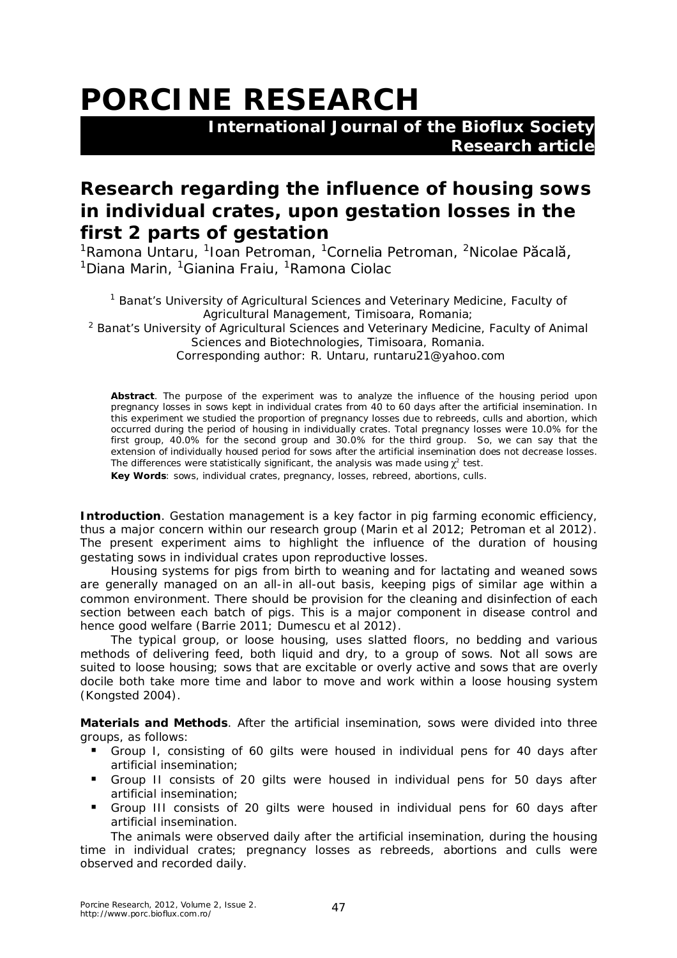## **PORCINE RESEARCH**

 **International Journal of the Bioflux Society Research article**

## **Research regarding the influence of housing sows in individual crates, upon gestation losses in the first 2 parts of gestation**

<sup>1</sup>Ramona Untaru, <sup>1</sup>Ioan Petroman, <sup>1</sup>Cornelia Petroman, <sup>2</sup>Nicolae P**ăcală,** <sup>1</sup>Diana Marin, <sup>1</sup>Gianina Fraiu, <sup>1</sup>Ramona Ciolac

<sup>1</sup> Banat's University of Agricultural Sciences and Veterinary Medicine, Faculty of Agricultural Management, Timisoara, Romania; <sup>2</sup> Banat's University of Agricultural Sciences and Veterinary Medicine, Faculty of Animal Sciences and Biotechnologies, Timisoara, Romania. Corresponding author: R. Untaru, runtaru21@yahoo.com

**Abstract**. The purpose of the experiment was to analyze the influence of the housing period upon pregnancy losses in sows kept in individual crates from 40 to 60 days after the artificial insemination. In this experiment we studied the proportion of pregnancy losses due to rebreeds, culls and abortion, which occurred during the period of housing in individually crates. Total pregnancy losses were 10.0% for the first group, 40.0% for the second group and 30.0% for the third group. So, we can say that the extension of individually housed period for sows after the artificial insemination does not decrease losses. The differences were statistically significant, the analysis was made using  $\chi^2$  test.

**Key Words**: sows, individual crates, pregnancy, losses, rebreed, abortions, culls.

**Introduction**. Gestation management is a key factor in pig farming economic efficiency, thus a major concern within our research group (Marin et al 2012; Petroman et al 2012). The present experiment aims to highlight the influence of the duration of housing gestating sows in individual crates upon reproductive losses.

Housing systems for pigs from birth to weaning and for lactating and weaned sows are generally managed on an all-in all-out basis, keeping pigs of similar age within a common environment. There should be provision for the cleaning and disinfection of each section between each batch of pigs. This is a major component in disease control and hence good welfare (Barrie 2011; Dumescu et al 2012).

The typical group, or loose housing, uses slatted floors, no bedding and various methods of delivering feed, both liquid and dry, to a group of sows. Not all sows are suited to loose housing; sows that are excitable or overly active and sows that are overly docile both take more time and labor to move and work within a loose housing system (Kongsted 2004).

**Materials and Methods**. After the artificial insemination, sows were divided into three groups, as follows:

- Group I, consisting of 60 gilts were housed in individual pens for 40 days after artificial insemination;
- Group II consists of 20 gilts were housed in individual pens for 50 days after artificial insemination;
- Group III consists of 20 gilts were housed in individual pens for 60 days after artificial insemination.

The animals were observed daily after the artificial insemination, during the housing time in individual crates; pregnancy losses as rebreeds, abortions and culls were observed and recorded daily.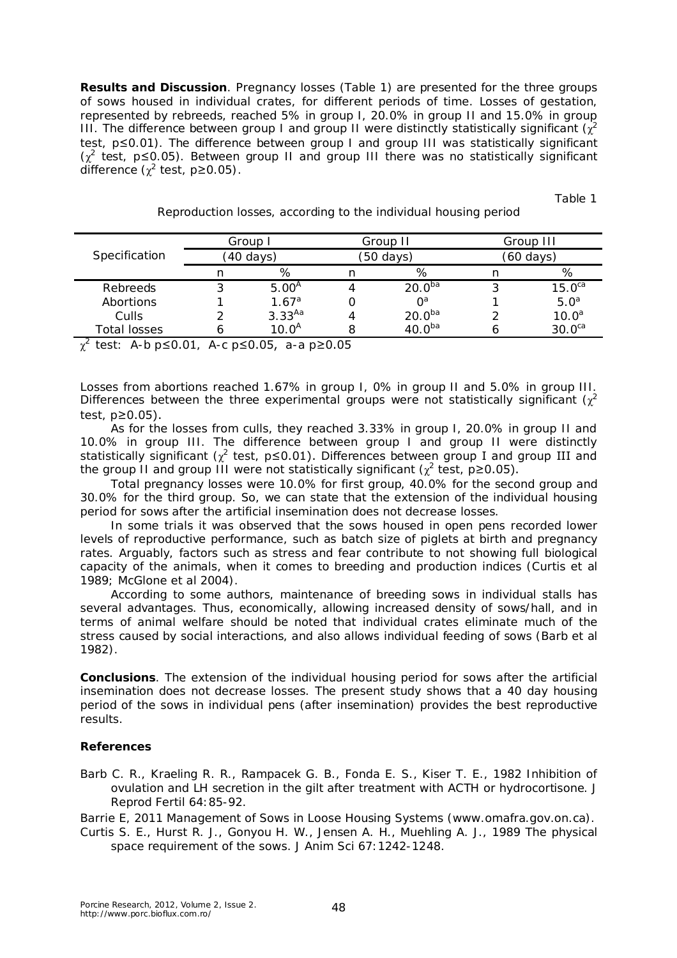**Results and Discussion**. Pregnancy losses (Table 1) are presented for the three groups of sows housed in individual crates, for different periods of time. Losses of gestation, represented by rebreeds, reached 5% in group I, 20.0% in group II and 15.0% in group III. The difference between group I and group II were distinctly statistically significant ( $\chi^2$ test, *p*≤0.01). The difference between group I and group III was statistically significant (χ 2 test, *p*≤0.05). Between group II and group III there was no statistically significant difference ( $\chi^2$  test,  $p$ ≥0.05).

Table 1

| Specification          | Group I   |                   | Group II |                    | Group III |                    |
|------------------------|-----------|-------------------|----------|--------------------|-----------|--------------------|
|                        | (40 days) |                   | 50 days) |                    | (60 days) |                    |
|                        |           | %                 |          | %                  |           | %                  |
| Rebreeds               |           | 5.00 <sup>A</sup> |          | 20.0 <sup>ba</sup> |           | 15.0 <sup>ca</sup> |
| Abortions              |           | 1.67 <sup>a</sup> |          | $\bigcap^a$        |           | 5.0 <sup>a</sup>   |
| <b>Culls</b>           |           | $3.33^{Aa}$       |          | 20.0 <sup>ba</sup> |           | 10.0 <sup>a</sup>  |
| Total losses<br>$\sim$ |           | 10.0 <sup>A</sup> |          | ⊿∩ ∩ <sup>ba</sup> |           | 30.0 <sup>ca</sup> |

Reproduction losses, according to the individual housing period

χ <sup>2</sup>test: A-b *p*≤0.01, A-c *p*≤0.05, a-a *p*≥0.05

Losses from abortions reached 1.67% in group I, 0% in group II and 5.0% in group III. Differences between the three experimental groups were not statistically significant ( $\chi^2$ test, *p*≥0.05).

As for the losses from culls, they reached 3.33% in group I, 20.0% in group II and 10.0% in group III. The difference between group I and group II were distinctly statistically significant ( $\chi^2$  test,  $p \le 0.01$ ). Differences between group I and group III and the group II and group III were not statistically significant  $(\chi^2 \text{ test}, p\geq 0.05)$ .

Total pregnancy losses were 10.0% for first group, 40.0% for the second group and 30.0% for the third group. So, we can state that the extension of the individual housing period for sows after the artificial insemination does not decrease losses.

In some trials it was observed that the sows housed in open pens recorded lower levels of reproductive performance, such as batch size of piglets at birth and pregnancy rates. Arguably, factors such as stress and fear contribute to not showing full biological capacity of the animals, when it comes to breeding and production indices (Curtis et al 1989; McGlone et al 2004).

According to some authors, maintenance of breeding sows in individual stalls has several advantages. Thus, economically, allowing increased density of sows/hall, and in terms of animal welfare should be noted that individual crates eliminate much of the stress caused by social interactions, and also allows individual feeding of sows (Barb et al 1982).

**Conclusions**. The extension of the individual housing period for sows after the artificial insemination does not decrease losses. The present study shows that a 40 day housing period of the sows in individual pens (after insemination) provides the best reproductive results.

## **References**

Barb C. R., Kraeling R. R., Rampacek G. B., Fonda E. S., Kiser T. E., 1982 Inhibition of ovulation and LH secretion in the gilt after treatment with ACTH or hydrocortisone. J Reprod Fertil 64:85-92.

Barrie E, 2011 Management of Sows in Loose Housing Systems (www.omafra.gov.on.ca).

Curtis S. E., Hurst R. J., Gonyou H. W., Jensen A. H., Muehling A. J., 1989 The physical space requirement of the sows. J Anim Sci 67:1242-1248.